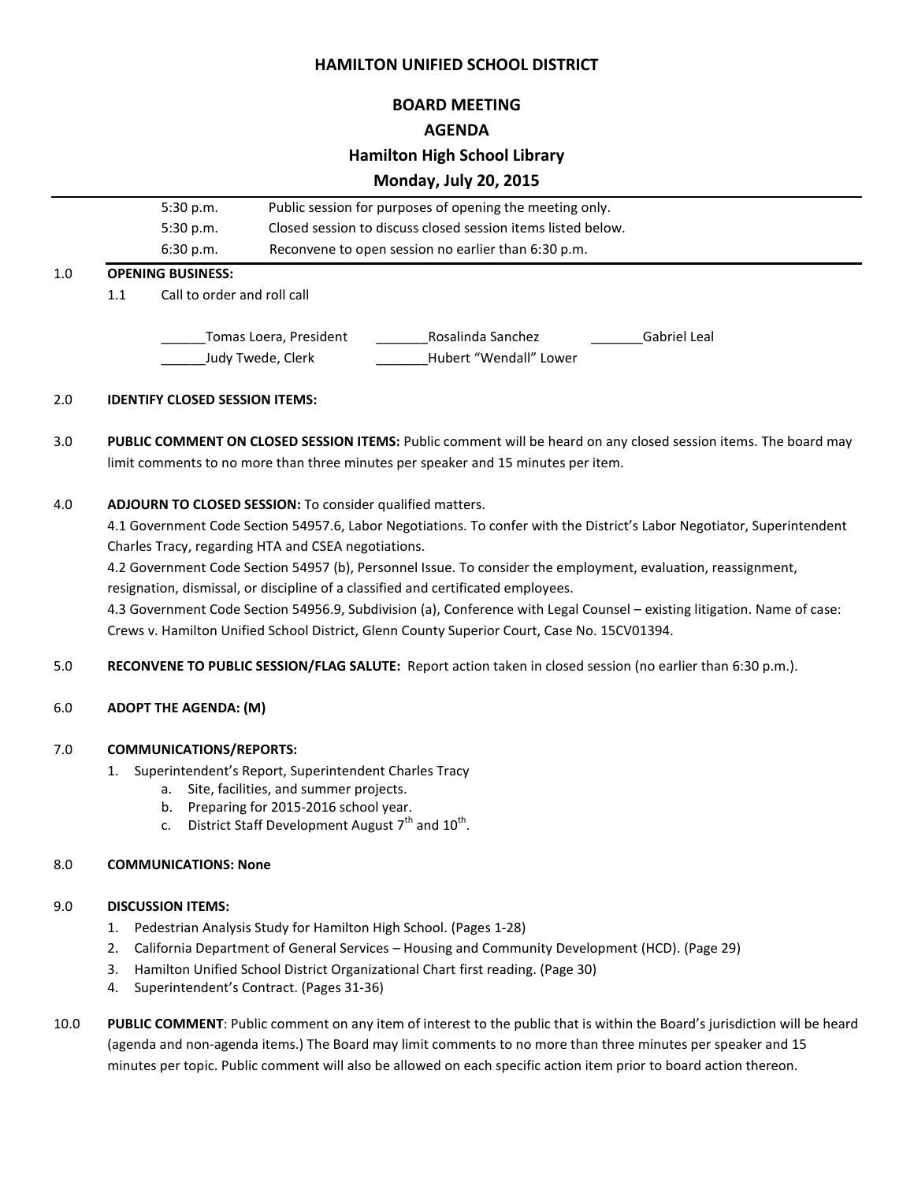## **HAMILTON UNIFIED SCHOOL DISTRICT**

### **BOARD MEETING**

### **AGENDA**

## **Hamilton High School Library**

# **Monday, July 20, 2015**

|     |                          | 5:30 p.m.                   | Public session for purposes of opening the meeting only.<br>Closed session to discuss closed session items listed below. |                   |              |  |
|-----|--------------------------|-----------------------------|--------------------------------------------------------------------------------------------------------------------------|-------------------|--------------|--|
|     |                          | 5:30 p.m.                   |                                                                                                                          |                   |              |  |
|     |                          | 6:30 p.m.                   | Reconvene to open session no earlier than 6:30 p.m.                                                                      |                   |              |  |
| 1.0 | <b>OPENING BUSINESS:</b> |                             |                                                                                                                          |                   |              |  |
|     | 1.1                      | Call to order and roll call |                                                                                                                          |                   |              |  |
|     |                          |                             |                                                                                                                          |                   |              |  |
|     |                          |                             | Tomas Loera, President                                                                                                   | Rosalinda Sanchez | Gabriel Leal |  |

#### 2.0 **IDENTIFY CLOSED SESSION ITEMS:**

3.0 **PUBLIC COMMENT ON CLOSED SESSION ITEMS:** Public comment will be heard on any closed session items. The board may limit comments to no more than three minutes per speaker and 15 minutes per item.

\_\_\_\_\_\_Judy Twede, Clerk \_\_\_\_\_\_\_Hubert "Wendall" Lower

#### 4.0 **ADJOURN TO CLOSED SESSION:** To consider qualified matters.

4.1 Government Code Section 54957.6, Labor Negotiations. To confer with the District's Labor Negotiator, Superintendent Charles Tracy, regarding HTA and CSEA negotiations.

4.2 Government Code Section 54957 (b), Personnel Issue. To consider the employment, evaluation, reassignment,

resignation, dismissal, or discipline of a classified and certificated employees.

4.3 Government Code Section 54956.9, Subdivision (a), Conference with Legal Counsel – existing litigation. Name of case: Crews v. Hamilton Unified School District, Glenn County Superior Court, Case No. 15CV01394.

5.0 **RECONVENE TO PUBLIC SESSION/FLAG SALUTE:** Report action taken in closed session (no earlier than 6:30 p.m.).

#### 6.0 **ADOPT THE AGENDA: (M)**

#### 7.0 **COMMUNICATIONS/REPORTS:**

- 1. Superintendent's Report, Superintendent Charles Tracy
	- a. Site, facilities, and summer projects.
	- b. Preparing for 2015-2016 school year.
	- c. District Staff Development August  $7^{\text{th}}$  and  $10^{\text{th}}$ .

#### 8.0 **COMMUNICATIONS: None**

#### 9.0 **DISCUSSION ITEMS:**

- 1. Pedestrian Analysis Study for Hamilton High School. (Pages 1-28)
- 2. California Department of General Services Housing and Community Development (HCD). (Page 29)
- 3. Hamilton Unified School District Organizational Chart first reading. (Page 30)
- 4. Superintendent's Contract. (Pages 31-36)
- 10.0 **PUBLIC COMMENT**: Public comment on any item of interest to the public that is within the Board's jurisdiction will be heard (agenda and non-agenda items.) The Board may limit comments to no more than three minutes per speaker and 15 minutes per topic. Public comment will also be allowed on each specific action item prior to board action thereon.